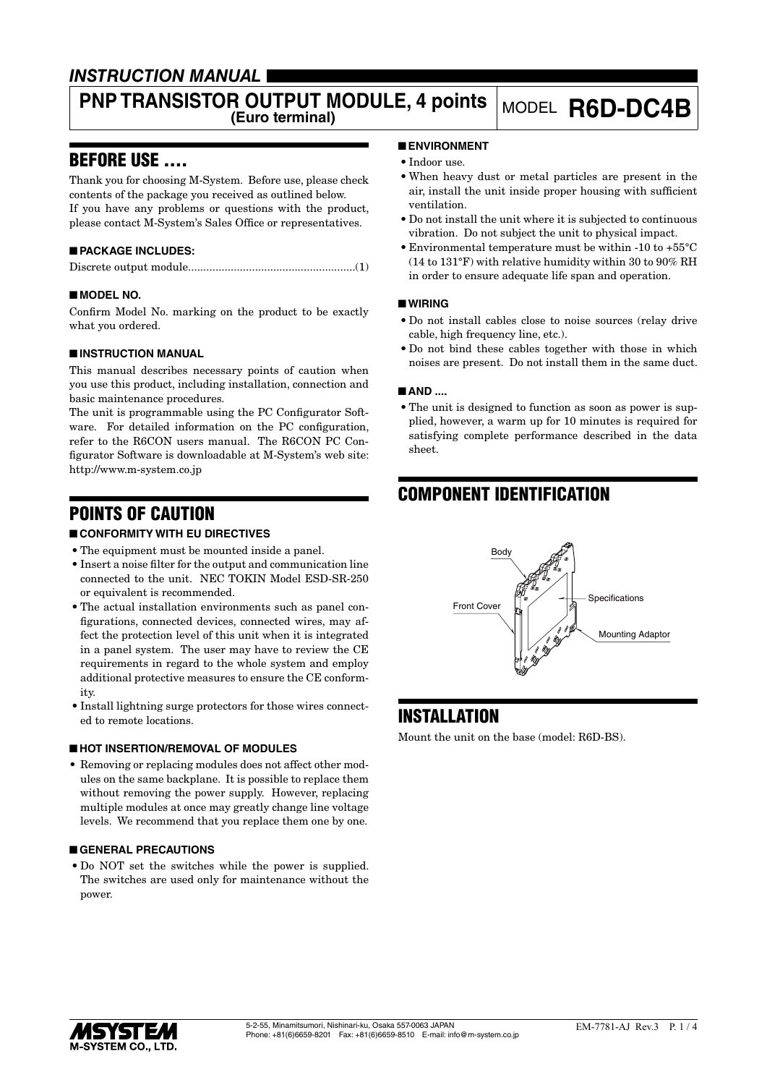## *INSTRUCTION MANUAL*

# **PNP TRANSISTOR OUTPUT MODULE, 4 points** MODEL **R6D-DC4B**

## BEFORE USE ....

Thank you for choosing M-System. Before use, please check contents of the package you received as outlined below. If you have any problems or questions with the product, please contact M-System's Sales Office or representatives.

## ■ **PACKAGE INCLUDES:**

## ■ **MODEL NO.**

Confirm Model No. marking on the product to be exactly what you ordered.

## ■ **INSTRUCTION MANUAL**

This manual describes necessary points of caution when you use this product, including installation, connection and basic maintenance procedures.

The unit is programmable using the PC Configurator Software. For detailed information on the PC configuration, refer to the R6CON users manual. The R6CON PC Configurator Software is downloadable at M-System's web site: http://www.m-system.co.jp

## POINTS OF CAUTION

## ■ **CONFORMITY WITH EU DIRECTIVES**

- The equipment must be mounted inside a panel.
- • Insert a noise filter for the output and communication line connected to the unit. NEC TOKIN Model ESD-SR-250 or equivalent is recommended.
- The actual installation environments such as panel configurations, connected devices, connected wires, may affect the protection level of this unit when it is integrated in a panel system. The user may have to review the CE requirements in regard to the whole system and employ additional protective measures to ensure the CE conformity.
- Install lightning surge protectors for those wires connected to remote locations.

## ■ **HOT INSERTION/REMOVAL OF MODULES**

• Removing or replacing modules does not affect other modules on the same backplane. It is possible to replace them without removing the power supply. However, replacing multiple modules at once may greatly change line voltage levels. We recommend that you replace them one by one.

## ■ **GENERAL PRECAUTIONS**

• Do NOT set the switches while the power is supplied. The switches are used only for maintenance without the power.

## ■ **ENVIRONMENT**

- Indoor use.
- • When heavy dust or metal particles are present in the air, install the unit inside proper housing with sufficient ventilation.
- • Do not install the unit where it is subjected to continuous vibration. Do not subject the unit to physical impact.
- • Environmental temperature must be within -10 to +55°C (14 to 131°F) with relative humidity within 30 to 90% RH in order to ensure adequate life span and operation.

## ■ **WIRING**

- • Do not install cables close to noise sources (relay drive cable, high frequency line, etc.).
- Do not bind these cables together with those in which noises are present. Do not install them in the same duct.

## ■ **AND** ....

• The unit is designed to function as soon as power is supplied, however, a warm up for 10 minutes is required for satisfying complete performance described in the data sheet.

## COMPONENT IDENTIFICATION



## **INSTALLATION**

Mount the unit on the base (model: R6D-BS).

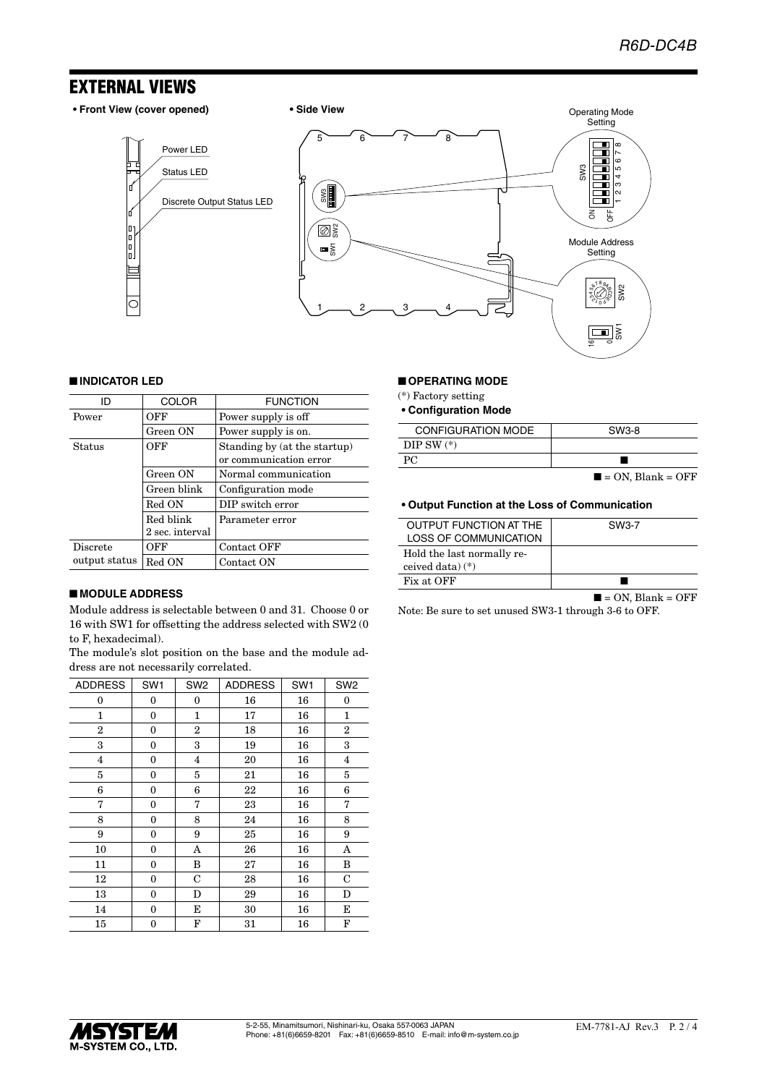## EXTERNAL VIEWS

I

l"<br>Io.



### ■ **INDICATOR LED**

| חו              | <b>COLOR</b>    | <b>FUNCTION</b>                                        |
|-----------------|-----------------|--------------------------------------------------------|
| Power           | OFF             | Power supply is off                                    |
|                 | Green ON        | Power supply is on.                                    |
| Status          | OFF             | Standing by (at the startup)<br>or communication error |
|                 | Green ON        | Normal communication                                   |
|                 | Green blink     | Configuration mode                                     |
|                 | Red ON          | DIP switch error                                       |
|                 | Red blink       | Parameter error                                        |
|                 | 2 sec. interval |                                                        |
| <b>Discrete</b> | OFF             | Contact OFF                                            |
| output status   | Red ON          | Contact ON                                             |

#### ■ **MODULE ADDRESS**

Module address is selectable between 0 and 31. Choose 0 or 16 with SW1 for offsetting the address selected with SW2 (0 to F, hexadecimal).

The module's slot position on the base and the module address are not necessarily correlated.

| <b>ADDRESS</b> | SW <sub>1</sub>  | SW <sub>2</sub> | <b>ADDRESS</b> | SW <sub>1</sub> | SW <sub>2</sub> |
|----------------|------------------|-----------------|----------------|-----------------|-----------------|
| 0              | 0                | 0               | 16             | 16              | $\bf{0}$        |
| 1              | $\mathbf{0}$     | 1               | 17             | 16              | 1               |
| $\overline{2}$ | $\boldsymbol{0}$ | 2               | 18             | 16              | $\overline{2}$  |
| 3              | 0                | 3               | 19             | 16              | 3               |
| 4              | $\bf{0}$         | 4               | 20             | 16              | $\overline{4}$  |
| 5              | $\boldsymbol{0}$ | 5               | 21             | 16              | 5               |
| 6              | $\boldsymbol{0}$ | 6               | 22             | 16              | 6               |
| 7              | $\boldsymbol{0}$ | 7               | 23             | 16              | 7               |
| 8              | $\mathbf{0}$     | 8               | 24             | 16              | 8               |
| 9              | $\mathbf{0}$     | 9               | 25             | 16              | 9               |
| 10             | $\boldsymbol{0}$ | A               | 26             | 16              | A               |
| 11             | $\boldsymbol{0}$ | B               | 27             | 16              | B               |
| 12             | $\boldsymbol{0}$ | C               | 28             | 16              | C               |
| 13             | $\boldsymbol{0}$ | D               | 29             | 16              | D               |
| 14             | $\boldsymbol{0}$ | E               | 30             | 16              | Е               |
| 15             | $\boldsymbol{0}$ | F               | 31             | 16              | F               |

#### ■ **OPERATING MODE**

(\*) Factory setting

**• Configuration Mode**

| CONFIGURATION MODE | SW3-8                            |
|--------------------|----------------------------------|
| DIP SW $(*)$       |                                  |
| PC.                |                                  |
|                    | $\blacksquare$ = ON. Blank = OFF |

 $\mathbf{\Omega}$ 5

#### **• Output Function at the Loss of Communication**

| <b>OUTPUT FUNCTION AT THE</b><br>LOSS OF COMMUNICATION | SW3-7 |
|--------------------------------------------------------|-------|
| Hold the last normally re-<br>ceived data) $(*)$       |       |
| Fix at OFF                                             |       |

 $\blacksquare$  = ON, Blank = OFF

Note: Be sure to set unused SW3-1 through 3-6 to OFF.

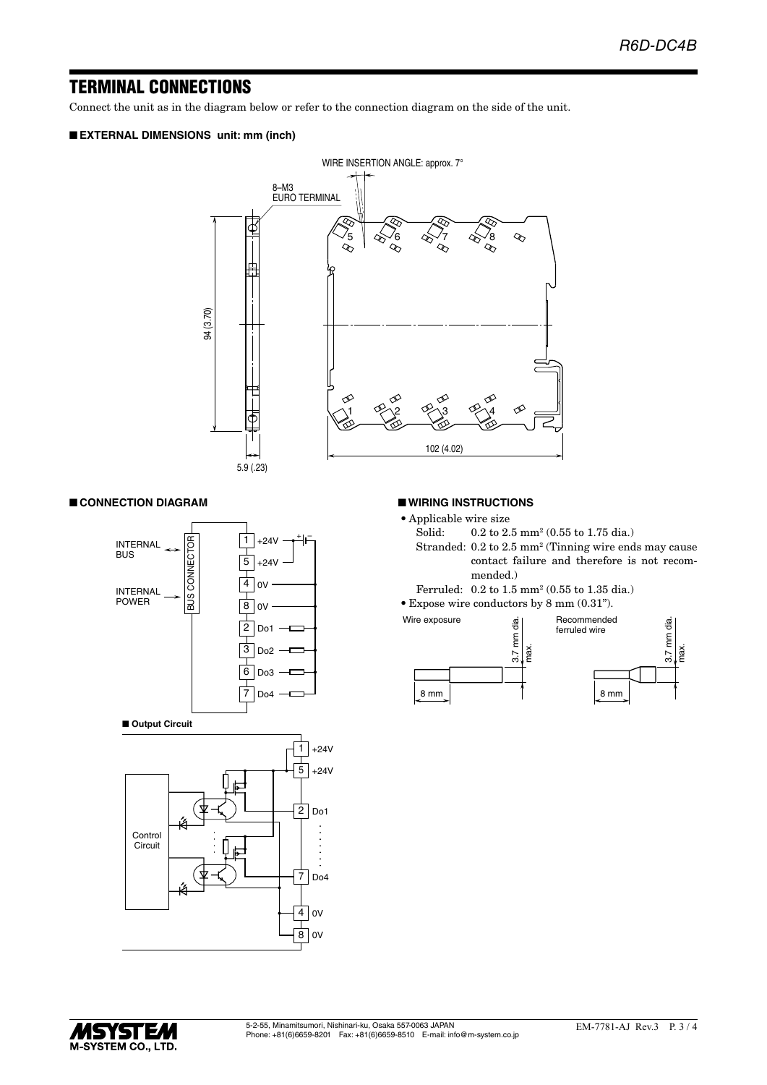## TERMINAL CONNECTIONS

Connect the unit as in the diagram below or refer to the connection diagram on the side of the unit.

## ■ **EXTERNAL DIMENSIONS unit: mm (inch)**



#### ■ **CONNECTION DIAGRAM**



#### ■ **WIRING INSTRUCTIONS**

- Applicable wire size<br>Solid:  $0.2$  to  $2$ .
- Solid: 0.2 to 2.5 mm<sup>2</sup> (0.55 to 1.75 dia.)
- Stranded: 0.2 to 2.5 mm<sup>2</sup> (Tinning wire ends may cause contact failure and therefore is not recommended.)
- Ferruled: 0.2 to 1.5 mm2 (0.55 to 1.35 dia.)
- • Expose wire conductors by 8 mm (0.31").